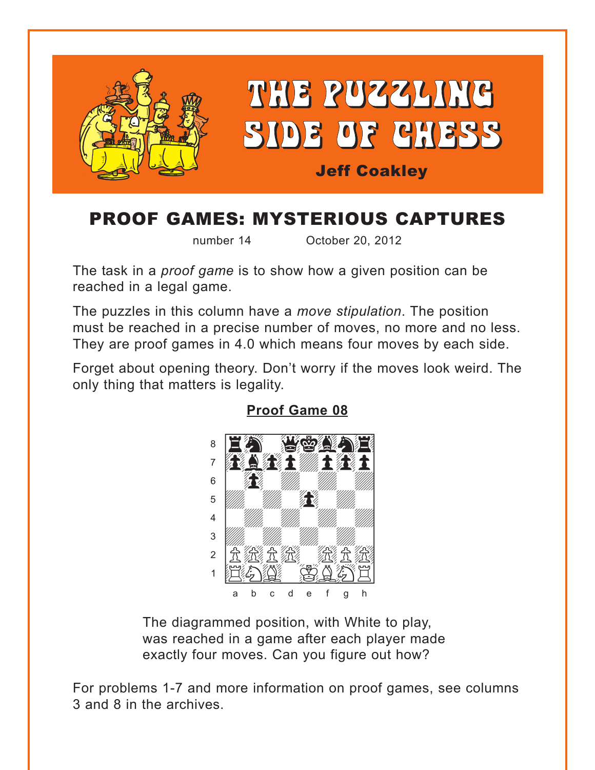<span id="page-0-0"></span>

# **PROOF GAMES: MYSTERIOUS CAPTURES**

number 14

October 20, 2012

The task in a *proof game* is to show how a given position can be reached in a legal game.

The puzzles in this column have a move stipulation. The position must be reached in a precise number of moves, no more and no less. They are proof games in 4.0 which means four moves by each side.

Forget about opening theory. Don't worry if the moves look weird. The only thing that matters is legality.



**Proof Game 08** 

The diagrammed position, with White to play, was reached in a game after each player made exactly four moves. Can you figure out how?

For problems 1-7 and more information on proof games, see columns 3 and 8 in the archives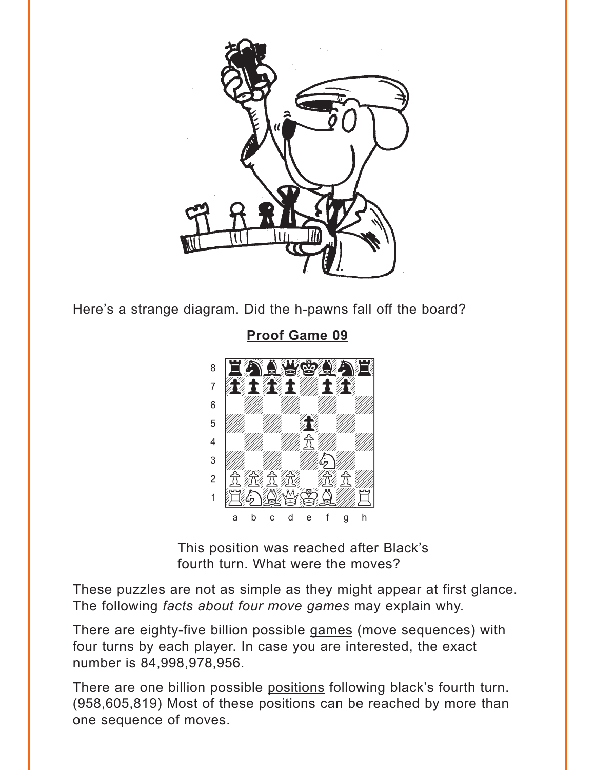<span id="page-1-0"></span>

Here's a strange diagram. Did the h-pawns fall off the board?

**Proof Game 09** 



This position was reached after Black's fourth turn. What were the moves?

These puzzles are not as simple as they might appear at first glance. The following facts about four move games may explain why.

There are eighty-five billion possible games (move sequences) with four turns by each player. In case you are interested, the exact number is 84,998,978,956.

There are one billion possible positions following black's fourth turn. (958,605,819) Most of these positions can be reached by more than one sequence of moves.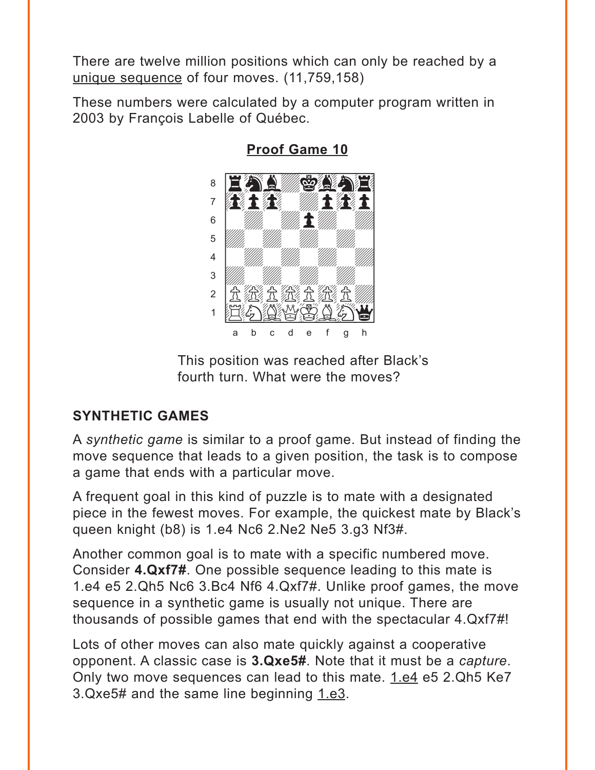<span id="page-2-0"></span>There are twelve million positions which can only be reached by a unique sequence of four moves. (11,759,158)

These numbers were calculated by a computer program written in 2003 by François Labelle of Québec.



**[Proof Game 10](#page-5-0)**

This position was reached after Black's fourth turn. What were the moves?

### **SYNTHETIC GAMES**

A *synthetic game* is similar to a proof game. But instead of finding the move sequence that leads to a given position, the task is to compose a game that ends with a particular move.

A frequent goal in this kind of puzzle is to mate with a designated piece in the fewest moves. For example, the quickest mate by Black's queen knight (b8) is 1.e4 Nc6 2.Ne2 Ne5 3.g3 Nf3#.

Another common goal is to mate with a specific numbered move. Consider **4.Qxf7#**. One possible sequence leading to this mate is 1.e4 e5 2.Qh5 Nc6 3.Bc4 Nf6 4.Qxf7#. Unlike proof games, the move sequence in a synthetic game is usually not unique. There are thousands of possible games that end with the spectacular 4.Qxf7#!

Lots of other moves can also mate quickly against a cooperative opponent. A classic case is **3.Qxe5#**. Note that it must be a *capture*. Only two move sequences can lead to this mate. 1.e4 e5 2.Qh5 Ke7 3.Qxe5# and the same line beginning 1.e3.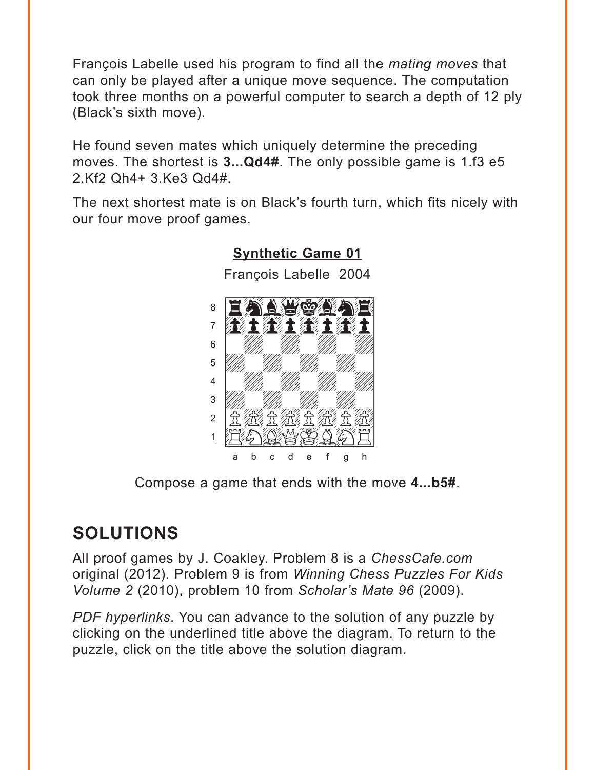<span id="page-3-0"></span>François Labelle used his program to find all the *mating moves* that can only be played after a unique move sequence. The computation took three months on a powerful computer to search a depth of 12 ply (Black's sixth move).

He found seven mates which uniquely determine the preceding moves. The shortest is 3... Qd4#. The only possible game is 1.f3 e5 2.Kf2 Qh4+ 3.Ke3 Qd4#.

The next shortest mate is on Black's fourth turn, which fits nicely with our four move proof games.



### **Synthetic Game 01**

François Labelle 2004

Compose a game that ends with the move 4...b5#.

## **SOLUTIONS**

All proof games by J. Coakley. Problem 8 is a ChessCafe.com original (2012). Problem 9 is from Winning Chess Puzzles For Kids Volume 2 (2010), problem 10 from Scholar's Mate 96 (2009).

PDF hyperlinks. You can advance to the solution of any puzzle by clicking on the underlined title above the diagram. To return to the puzzle, click on the title above the solution diagram.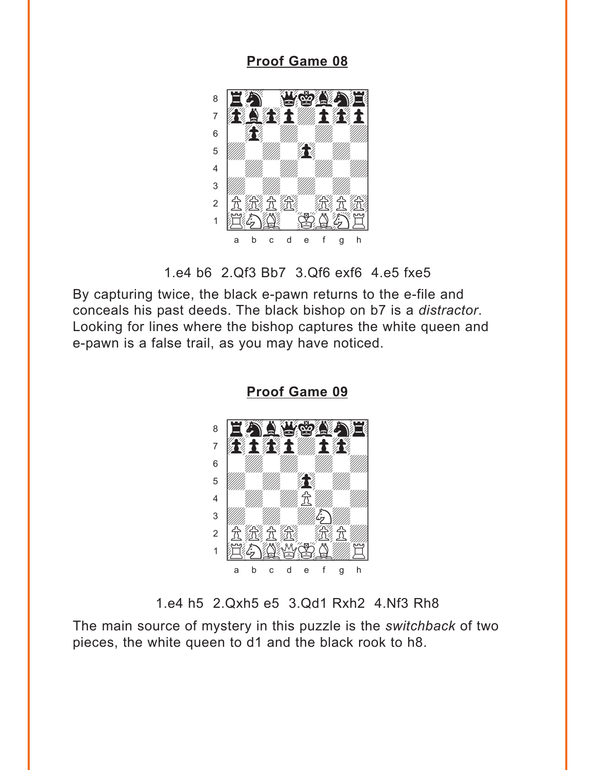#### **[Proof Game 08](#page-0-0)**

<span id="page-4-0"></span>

1.e4 b6 2.Qf3 Bb7 3.Qf6 exf6 4.e5 fxe5

By capturing twice, the black e-pawn returns to the e-file and conceals his past deeds. The black bishop on b7 is a *distractor*. Looking for lines where the bishop captures the white queen and e-pawn is a false trail, as you may have noticed.



**[Proof Game 09](#page-1-0)**

1.e4 h5 2.Qxh5 e5 3.Qd1 Rxh2 4.Nf3 Rh8

The main source of mystery in this puzzle is the *switchback* of two pieces, the white queen to d1 and the black rook to h8.